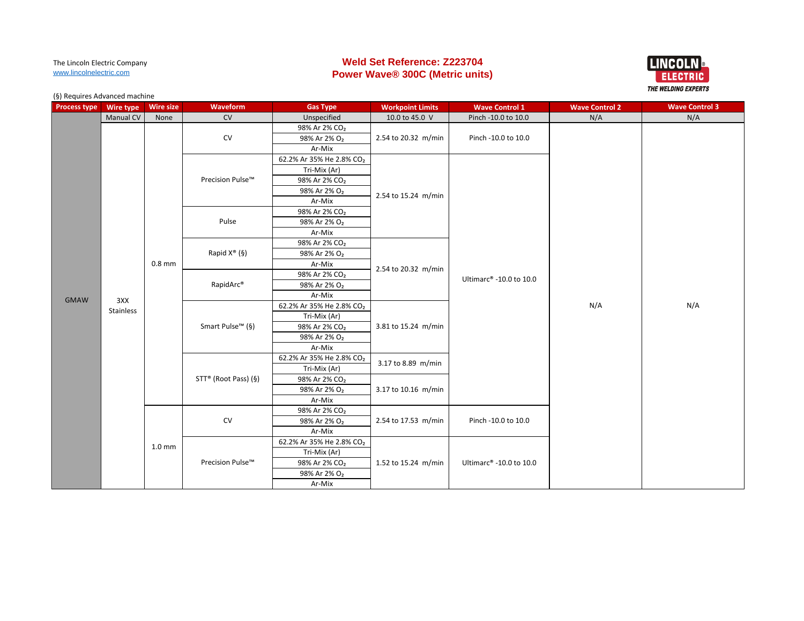# **Weld Set Reference: Z223704 Power Wave® 300C (Metric units)**



| <b>Process type</b> | Wire type | <b>Wire size</b>  | Waveform                     | <b>Gas Type</b>           | <b>Workpoint Limits</b> | <b>Wave Control 1</b>               | <b>Wave Control 2</b> | <b>Wave Control 3</b> |
|---------------------|-----------|-------------------|------------------------------|---------------------------|-------------------------|-------------------------------------|-----------------------|-----------------------|
|                     | Manual CV | None              | <b>CV</b>                    | Unspecified               | 10.0 to 45.0 V          | Pinch -10.0 to 10.0                 | N/A                   | N/A                   |
|                     |           |                   |                              | 98% Ar 2% CO <sub>2</sub> |                         |                                     |                       |                       |
|                     |           |                   | CV                           | 98% Ar 2% O <sub>2</sub>  | 2.54 to 20.32 m/min     | Pinch -10.0 to 10.0                 |                       |                       |
|                     |           |                   |                              | Ar-Mix                    |                         |                                     |                       |                       |
|                     |           |                   |                              | 62.2% Ar 35% He 2.8% CO2  |                         |                                     |                       |                       |
|                     |           |                   |                              | Tri-Mix (Ar)              |                         |                                     |                       |                       |
|                     |           |                   | Precision Pulse™             | 98% Ar 2% CO <sub>2</sub> |                         |                                     |                       |                       |
|                     |           |                   |                              | 98% Ar 2% O <sub>2</sub>  | 2.54 to 15.24 m/min     |                                     |                       |                       |
|                     |           |                   |                              | Ar-Mix                    |                         |                                     |                       |                       |
|                     |           |                   |                              | 98% Ar 2% CO <sub>2</sub> |                         |                                     |                       |                       |
|                     |           |                   | Pulse                        | 98% Ar 2% O <sub>2</sub>  |                         |                                     |                       | N/A                   |
|                     |           |                   |                              | Ar-Mix                    |                         |                                     |                       |                       |
|                     |           |                   |                              | 98% Ar 2% CO <sub>2</sub> |                         |                                     |                       |                       |
|                     |           |                   | Rapid $X^{\circledast}$ (§)  | 98% Ar 2% O <sub>2</sub>  |                         |                                     |                       |                       |
|                     |           | $0.8$ mm          |                              | Ar-Mix                    | 2.54 to 20.32 m/min     |                                     |                       |                       |
|                     |           |                   |                              | 98% Ar 2% CO <sub>2</sub> |                         | Ultimarc <sup>®</sup> -10.0 to 10.0 |                       |                       |
|                     |           |                   | RapidArc®                    | 98% Ar 2% O <sub>2</sub>  |                         |                                     |                       |                       |
| <b>GMAW</b>         | 3XX       |                   |                              | Ar-Mix                    |                         |                                     |                       |                       |
|                     | Stainless |                   | Smart Pulse <sup>™</sup> (§) | 62.2% Ar 35% He 2.8% CO2  | 3.81 to 15.24 m/min     |                                     | N/A                   |                       |
|                     |           |                   |                              | Tri-Mix (Ar)              |                         |                                     |                       |                       |
|                     |           |                   |                              | 98% Ar 2% CO <sub>2</sub> |                         |                                     |                       |                       |
|                     |           |                   |                              | 98% Ar 2% O <sub>2</sub>  |                         |                                     |                       |                       |
|                     |           |                   |                              | Ar-Mix                    |                         |                                     |                       |                       |
|                     |           |                   |                              | 62.2% Ar 35% He 2.8% CO2  | 3.17 to 8.89 m/min      |                                     |                       |                       |
|                     |           |                   |                              | Tri-Mix (Ar)              |                         |                                     |                       |                       |
|                     |           |                   | STT® (Root Pass) (§)         | 98% Ar 2% CO <sub>2</sub> |                         |                                     |                       |                       |
|                     |           |                   |                              | 98% Ar 2% O <sub>2</sub>  | 3.17 to 10.16 m/min     |                                     |                       |                       |
|                     |           |                   |                              | Ar-Mix                    |                         |                                     |                       |                       |
|                     |           |                   |                              | 98% Ar 2% CO <sub>2</sub> |                         |                                     |                       |                       |
|                     |           |                   | CV                           | 98% Ar 2% O <sub>2</sub>  | 2.54 to 17.53 m/min     | Pinch -10.0 to 10.0                 |                       |                       |
|                     |           |                   |                              | Ar-Mix                    |                         |                                     |                       |                       |
|                     |           | 1.0 <sub>mm</sub> |                              | 62.2% Ar 35% He 2.8% CO2  |                         |                                     |                       |                       |
|                     |           |                   | Precision Pulse™             | Tri-Mix (Ar)              |                         |                                     |                       |                       |
|                     |           |                   |                              | 98% Ar 2% CO <sub>2</sub> | 1.52 to 15.24 m/min     | Ultimarc® -10.0 to 10.0             |                       |                       |
|                     |           |                   |                              | 98% Ar 2% O <sub>2</sub>  |                         |                                     |                       |                       |
|                     |           |                   |                              | Ar-Mix                    |                         |                                     |                       |                       |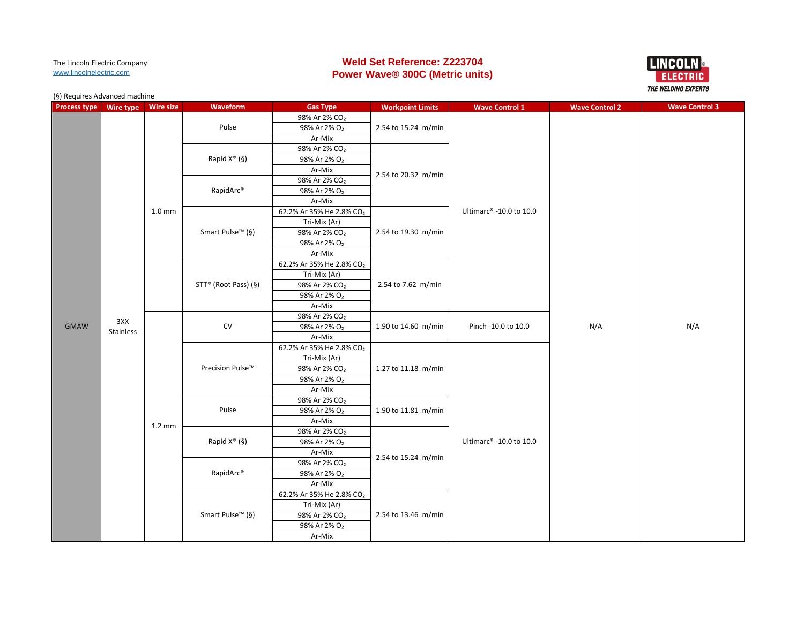# **Weld Set Reference: Z223704 Power Wave® 300C (Metric units)**



| <b>Process type</b> | Wire type        | <b>Wire size</b>  | Waveform                     | <b>Gas Type</b>           | <b>Workpoint Limits</b> | <b>Wave Control 1</b>               | <b>Wave Control 2</b> | <b>Wave Control 3</b> |
|---------------------|------------------|-------------------|------------------------------|---------------------------|-------------------------|-------------------------------------|-----------------------|-----------------------|
|                     |                  |                   |                              | 98% Ar 2% CO <sub>2</sub> |                         |                                     |                       |                       |
|                     |                  |                   | Pulse                        | 98% Ar 2% O <sub>2</sub>  | 2.54 to 15.24 m/min     |                                     |                       |                       |
|                     |                  |                   |                              | Ar-Mix                    |                         |                                     |                       |                       |
|                     |                  |                   | Rapid $X^{\circledast}$ (§)  | 98% Ar 2% CO <sub>2</sub> |                         |                                     |                       |                       |
|                     |                  |                   |                              | 98% Ar 2% O <sub>2</sub>  |                         |                                     |                       |                       |
|                     |                  |                   |                              | Ar-Mix                    |                         |                                     |                       |                       |
|                     |                  |                   |                              | 98% Ar 2% CO <sub>2</sub> | 2.54 to 20.32 m/min     |                                     |                       |                       |
|                     |                  |                   | RapidArc®                    | 98% Ar 2% O <sub>2</sub>  |                         |                                     |                       |                       |
|                     |                  |                   |                              | Ar-Mix                    |                         |                                     |                       |                       |
|                     |                  | 1.0 <sub>mm</sub> |                              | 62.2% Ar 35% He 2.8% CO2  |                         | Ultimarc <sup>®</sup> -10.0 to 10.0 |                       |                       |
|                     |                  |                   |                              | Tri-Mix (Ar)              |                         |                                     |                       |                       |
|                     |                  |                   | Smart Pulse <sup>™</sup> (§) | 98% Ar 2% CO <sub>2</sub> | 2.54 to 19.30 m/min     |                                     |                       |                       |
|                     |                  |                   |                              | 98% Ar 2% O <sub>2</sub>  |                         |                                     |                       |                       |
|                     |                  |                   |                              | Ar-Mix                    |                         |                                     |                       |                       |
|                     |                  |                   |                              | 62.2% Ar 35% He 2.8% CO2  |                         |                                     |                       |                       |
|                     |                  |                   | STT® (Root Pass) (§)         | Tri-Mix (Ar)              | 2.54 to 7.62 m/min      |                                     |                       |                       |
|                     |                  |                   |                              | 98% Ar 2% CO <sub>2</sub> |                         |                                     |                       |                       |
|                     |                  |                   |                              | 98% Ar 2% O <sub>2</sub>  |                         |                                     |                       |                       |
|                     | 3XX<br>Stainless |                   |                              | Ar-Mix                    |                         |                                     |                       |                       |
|                     |                  |                   |                              | 98% Ar 2% CO <sub>2</sub> |                         |                                     |                       |                       |
| <b>GMAW</b>         |                  |                   | <b>CV</b>                    | 98% Ar 2% O <sub>2</sub>  | 1.90 to 14.60 m/min     | Pinch -10.0 to 10.0                 | N/A                   | N/A                   |
|                     |                  |                   |                              | Ar-Mix                    |                         |                                     |                       |                       |
|                     |                  |                   |                              | 62.2% Ar 35% He 2.8% CO2  | 1.27 to 11.18 m/min     |                                     |                       |                       |
|                     |                  |                   | Precision Pulse™             | Tri-Mix (Ar)              |                         |                                     |                       |                       |
|                     |                  |                   |                              | 98% Ar 2% CO <sub>2</sub> |                         |                                     |                       |                       |
|                     |                  |                   |                              | 98% Ar 2% O <sub>2</sub>  |                         |                                     |                       |                       |
|                     |                  |                   |                              | Ar-Mix                    |                         |                                     |                       |                       |
|                     |                  |                   |                              | 98% Ar 2% CO <sub>2</sub> |                         |                                     |                       |                       |
|                     |                  |                   | Pulse                        | 98% Ar 2% O <sub>2</sub>  | 1.90 to 11.81 m/min     |                                     |                       |                       |
|                     |                  | $1.2 \text{ mm}$  |                              | Ar-Mix                    |                         |                                     |                       |                       |
|                     |                  |                   |                              | 98% Ar 2% CO <sub>2</sub> |                         |                                     |                       |                       |
|                     |                  |                   | Rapid $X^{\circledast}$ (§)  | 98% Ar 2% O <sub>2</sub>  |                         | Ultimarc <sup>®</sup> -10.0 to 10.0 |                       |                       |
|                     |                  |                   |                              | Ar-Mix                    | 2.54 to 15.24 m/min     |                                     |                       |                       |
|                     |                  |                   |                              | 98% Ar 2% CO <sub>2</sub> |                         |                                     |                       |                       |
|                     |                  |                   | RapidArc <sup>®</sup>        | 98% Ar 2% O <sub>2</sub>  |                         |                                     |                       |                       |
|                     |                  |                   |                              | Ar-Mix                    |                         |                                     |                       |                       |
|                     |                  |                   |                              | 62.2% Ar 35% He 2.8% CO2  |                         |                                     |                       |                       |
|                     |                  |                   |                              | Tri-Mix (Ar)              |                         |                                     |                       |                       |
|                     |                  |                   | Smart Pulse <sup>™</sup> (§) | 98% Ar 2% CO <sub>2</sub> | 2.54 to 13.46 m/min     |                                     |                       |                       |
|                     |                  |                   |                              | 98% Ar 2% O <sub>2</sub>  |                         |                                     |                       |                       |
|                     |                  |                   | Ar-Mix                       |                           |                         |                                     |                       |                       |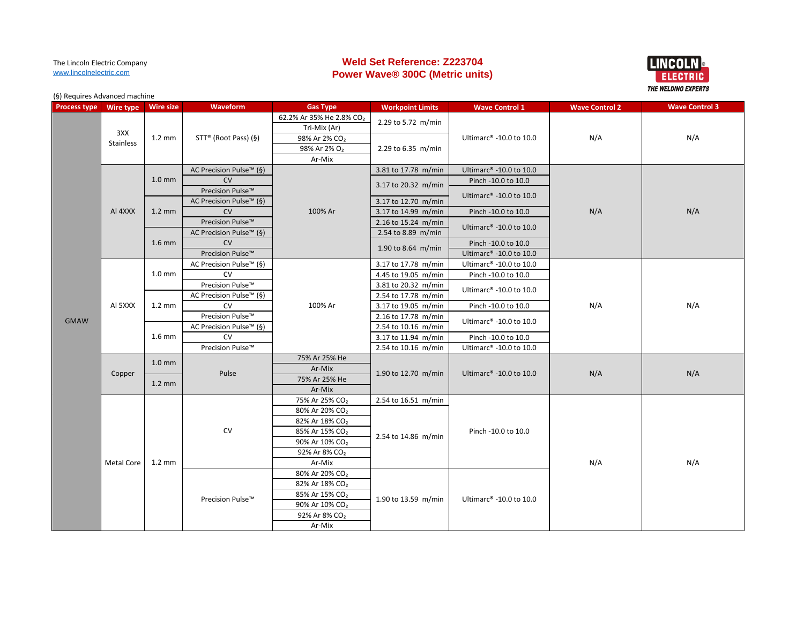# **Weld Set Reference: Z223704 Power Wave® 300C (Metric units)**



| <b>Process type</b> | Wire type               | <b>Wire size</b>  | <b>Waveform</b>                     | <b>Gas Type</b>                      | <b>Workpoint Limits</b> | <b>Wave Control 1</b>                                      | <b>Wave Control 2</b> | <b>Wave Control 3</b> |
|---------------------|-------------------------|-------------------|-------------------------------------|--------------------------------------|-------------------------|------------------------------------------------------------|-----------------------|-----------------------|
|                     |                         | $1.2 \text{ mm}$  |                                     | 62.2% Ar 35% He 2.8% CO <sub>2</sub> |                         |                                                            |                       |                       |
|                     |                         |                   |                                     | Tri-Mix (Ar)                         | 2.29 to 5.72 m/min      |                                                            |                       |                       |
|                     | 3XX<br><b>Stainless</b> |                   | STT® (Root Pass) (§)                | 98% Ar 2% CO <sub>2</sub>            |                         | Ultimarc <sup>®</sup> -10.0 to 10.0                        | N/A                   | N/A                   |
|                     |                         |                   |                                     | 98% Ar 2% O <sub>2</sub>             | 2.29 to 6.35 m/min      |                                                            |                       |                       |
|                     |                         |                   |                                     | Ar-Mix                               |                         |                                                            |                       |                       |
|                     |                         |                   | AC Precision Pulse™ (§)             |                                      | 3.81 to 17.78 m/min     | Ultimarc® -10.0 to 10.0                                    |                       |                       |
|                     |                         | 1.0 <sub>mm</sub> | CV                                  |                                      | 3.17 to 20.32 m/min     | Pinch -10.0 to 10.0                                        |                       |                       |
|                     |                         |                   | Precision Pulse™                    |                                      |                         | Ultimarc <sup>®</sup> -10.0 to 10.0                        |                       |                       |
|                     |                         |                   | AC Precision Pulse <sup>™</sup> (§) |                                      | 3.17 to 12.70 m/min     |                                                            |                       |                       |
|                     | AI 4XXX                 | $1.2 \text{ mm}$  | CV                                  | 100% Ar                              | 3.17 to 14.99 m/min     | Pinch -10.0 to 10.0                                        | N/A                   | N/A                   |
|                     |                         |                   | Precision Pulse™                    |                                      | 2.16 to 15.24 m/min     | Ultimarc <sup>®</sup> -10.0 to 10.0<br>Pinch -10.0 to 10.0 |                       |                       |
|                     |                         |                   | AC Precision Pulse <sup>™</sup> (§) |                                      | 2.54 to 8.89 m/min      |                                                            |                       |                       |
|                     |                         | $1.6$ mm          | CV                                  |                                      | 1.90 to 8.64 m/min      |                                                            |                       |                       |
|                     |                         |                   | Precision Pulse™                    |                                      |                         | Ultimarc® -10.0 to 10.0                                    |                       |                       |
|                     |                         |                   | AC Precision Pulse™ (§)             |                                      | 3.17 to 17.78 m/min     | Ultimarc® -10.0 to 10.0                                    |                       |                       |
|                     |                         | 1.0 <sub>mm</sub> | CV                                  |                                      | 4.45 to 19.05 m/min     | Pinch -10.0 to 10.0                                        |                       |                       |
|                     |                         |                   | Precision Pulse™                    |                                      | 3.81 to 20.32 m/min     | Ultimarc <sup>®</sup> -10.0 to 10.0                        |                       |                       |
|                     |                         |                   | AC Precision Pulse™ (§)             |                                      | 2.54 to 17.78 m/min     |                                                            |                       |                       |
|                     | AI 5XXX                 | $1.2 \text{ mm}$  | <b>CV</b>                           | 100% Ar                              | 3.17 to 19.05 m/min     | Pinch -10.0 to 10.0                                        | N/A                   | N/A                   |
| <b>GMAW</b>         |                         |                   | Precision Pulse™                    |                                      | 2.16 to 17.78 m/min     | Ultimarc <sup>®</sup> -10.0 to 10.0                        |                       |                       |
|                     |                         |                   | AC Precision Pulse™ (§)             |                                      | 2.54 to 10.16 m/min     |                                                            |                       |                       |
|                     |                         | $1.6$ mm          | <b>CV</b>                           |                                      | 3.17 to 11.94 m/min     | Pinch -10.0 to 10.0                                        |                       |                       |
|                     |                         |                   | Precision Pulse™                    |                                      | 2.54 to 10.16 m/min     | Ultimarc® -10.0 to 10.0                                    |                       |                       |
|                     |                         | $1.0 \text{ mm}$  | Pulse                               | 75% Ar 25% He                        |                         | Ultimarc <sup>®</sup> -10.0 to 10.0                        | N/A                   | N/A                   |
|                     | Copper                  |                   |                                     | Ar-Mix                               | 1.90 to 12.70 m/min     |                                                            |                       |                       |
|                     |                         | $1.2 \text{ mm}$  |                                     | 75% Ar 25% He                        |                         |                                                            |                       |                       |
|                     |                         |                   |                                     | Ar-Mix                               |                         |                                                            |                       |                       |
|                     |                         |                   |                                     | 75% Ar 25% CO <sub>2</sub>           | 2.54 to 16.51 m/min     |                                                            |                       |                       |
|                     |                         |                   |                                     | 80% Ar 20% CO <sub>2</sub>           |                         |                                                            |                       |                       |
|                     |                         |                   |                                     | 82% Ar 18% CO <sub>2</sub>           |                         |                                                            |                       |                       |
|                     |                         |                   | <b>CV</b>                           | 85% Ar 15% CO <sub>2</sub>           | 2.54 to 14.86 m/min     | Pinch -10.0 to 10.0                                        |                       |                       |
|                     |                         |                   |                                     | 90% Ar 10% CO <sub>2</sub>           |                         |                                                            |                       |                       |
|                     |                         |                   |                                     | 92% Ar 8% CO <sub>2</sub>            |                         |                                                            |                       |                       |
|                     | Metal Core              | $1.2 \text{ mm}$  |                                     | Ar-Mix                               |                         |                                                            | N/A                   | N/A                   |
|                     |                         |                   |                                     | 80% Ar 20% CO <sub>2</sub>           |                         |                                                            |                       |                       |
|                     |                         |                   |                                     | 82% Ar 18% CO <sub>2</sub>           |                         |                                                            |                       |                       |
|                     |                         |                   | Precision Pulse™                    | 85% Ar 15% CO <sub>2</sub>           | 1.90 to 13.59 m/min     | Ultimarc <sup>®</sup> -10.0 to 10.0                        |                       |                       |
|                     |                         |                   |                                     | 90% Ar 10% CO <sub>2</sub>           |                         |                                                            |                       |                       |
|                     |                         |                   |                                     | 92% Ar 8% CO <sub>2</sub>            |                         |                                                            |                       |                       |
|                     |                         |                   |                                     | Ar-Mix                               |                         |                                                            |                       |                       |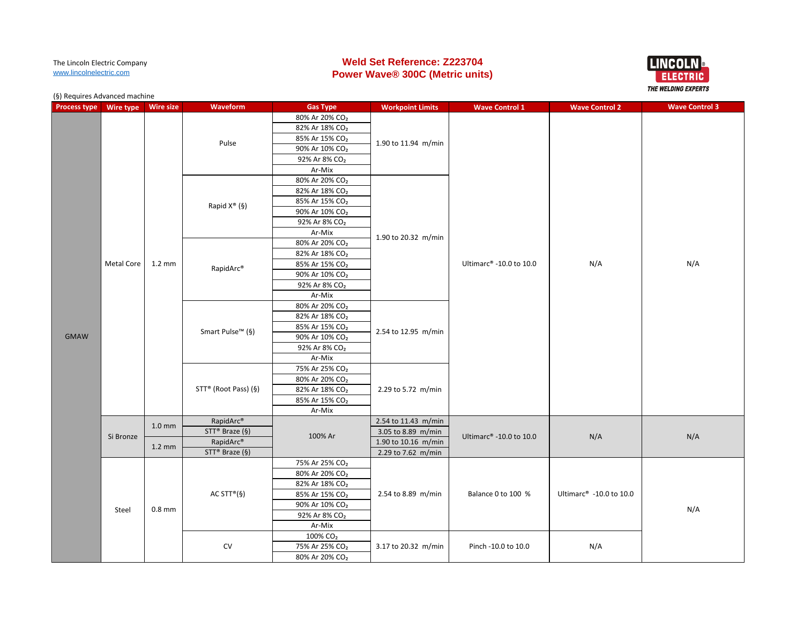# **Weld Set Reference: Z223704 Power Wave® 300C (Metric units)**



| <b>Process type</b> | Wire type  | <b>Wire size</b>  | Waveform                 | <b>Gas Type</b>            | <b>Workpoint Limits</b> | <b>Wave Control 1</b>   | <b>Wave Control 2</b>               | <b>Wave Control 3</b> |
|---------------------|------------|-------------------|--------------------------|----------------------------|-------------------------|-------------------------|-------------------------------------|-----------------------|
|                     |            |                   |                          | 80% Ar 20% CO <sub>2</sub> |                         |                         |                                     |                       |
|                     |            |                   |                          | 82% Ar 18% CO <sub>2</sub> |                         |                         |                                     |                       |
|                     |            |                   |                          | 85% Ar 15% CO <sub>2</sub> |                         |                         |                                     |                       |
|                     |            |                   | Pulse                    | 90% Ar 10% CO <sub>2</sub> | 1.90 to 11.94 m/min     |                         |                                     |                       |
|                     |            |                   |                          | 92% Ar 8% CO <sub>2</sub>  |                         |                         |                                     |                       |
|                     |            |                   |                          | Ar-Mix                     |                         |                         |                                     |                       |
|                     |            |                   |                          | 80% Ar 20% CO <sub>2</sub> |                         |                         |                                     |                       |
|                     |            |                   |                          | 82% Ar 18% CO <sub>2</sub> |                         |                         |                                     |                       |
|                     |            |                   |                          | 85% Ar 15% CO <sub>2</sub> |                         |                         |                                     |                       |
|                     |            |                   | Rapid X <sup>®</sup> (§) | 90% Ar 10% CO <sub>2</sub> |                         |                         |                                     | N/A                   |
|                     |            |                   |                          | 92% Ar 8% CO <sub>2</sub>  |                         |                         |                                     |                       |
|                     |            |                   |                          | Ar-Mix                     |                         |                         |                                     |                       |
|                     |            |                   |                          | 80% Ar 20% CO <sub>2</sub> | 1.90 to 20.32 m/min     |                         |                                     |                       |
|                     |            |                   |                          | 82% Ar 18% CO <sub>2</sub> |                         |                         |                                     |                       |
|                     | Metal Core | $1.2 \text{ mm}$  |                          | 85% Ar 15% CO <sub>2</sub> |                         | Ultimarc® -10.0 to 10.0 | N/A                                 |                       |
|                     |            |                   | RapidArc®                | 90% Ar 10% CO <sub>2</sub> |                         |                         |                                     |                       |
|                     |            |                   |                          | 92% Ar 8% CO <sub>2</sub>  |                         |                         |                                     |                       |
|                     |            |                   |                          | Ar-Mix                     |                         |                         |                                     |                       |
|                     |            |                   |                          | 80% Ar 20% CO <sub>2</sub> |                         |                         |                                     |                       |
|                     |            |                   |                          | 82% Ar 18% CO <sub>2</sub> |                         |                         |                                     |                       |
|                     |            |                   |                          | 85% Ar 15% CO <sub>2</sub> |                         |                         |                                     |                       |
| <b>GMAW</b>         |            |                   | Smart Pulse™ (§)         | 90% Ar 10% CO <sub>2</sub> | 2.54 to 12.95 m/min     |                         |                                     |                       |
|                     |            |                   |                          | 92% Ar 8% CO <sub>2</sub>  |                         |                         |                                     |                       |
|                     |            |                   |                          | Ar-Mix                     |                         |                         |                                     |                       |
|                     |            |                   |                          | 75% Ar 25% CO <sub>2</sub> |                         |                         |                                     |                       |
|                     |            |                   | STT® (Root Pass) (§)     | 80% Ar 20% CO <sub>2</sub> |                         |                         |                                     |                       |
|                     |            |                   |                          | 82% Ar 18% CO <sub>2</sub> | 2.29 to 5.72 m/min      |                         |                                     |                       |
|                     |            |                   |                          | 85% Ar 15% CO <sub>2</sub> |                         |                         |                                     |                       |
|                     |            |                   |                          | Ar-Mix                     |                         |                         |                                     |                       |
|                     |            |                   | RapidArc®                |                            | 2.54 to 11.43 m/min     |                         |                                     |                       |
|                     |            | 1.0 <sub>mm</sub> | STT® Braze (§)           |                            | 3.05 to 8.89 m/min      |                         |                                     |                       |
|                     | Si Bronze  |                   | RapidArc®                | 100% Ar                    | 1.90 to 10.16 m/min     | Ultimarc® -10.0 to 10.0 | N/A                                 | N/A                   |
|                     |            | $1.2 \text{ mm}$  | STT® Braze (§)           |                            | 2.29 to 7.62 m/min      |                         |                                     |                       |
|                     |            |                   |                          | 75% Ar 25% CO <sub>2</sub> |                         |                         |                                     |                       |
|                     |            |                   |                          | 80% Ar 20% CO <sub>2</sub> |                         |                         |                                     |                       |
|                     |            |                   |                          | 82% Ar 18% CO <sub>2</sub> |                         |                         |                                     |                       |
|                     |            |                   | AC STT® $(\S)$           | 85% Ar 15% CO <sub>2</sub> | 2.54 to 8.89 m/min      | Balance 0 to 100 %      | Ultimarc <sup>®</sup> -10.0 to 10.0 |                       |
|                     |            |                   |                          | 90% Ar 10% CO <sub>2</sub> |                         |                         |                                     |                       |
|                     | Steel      | $0.8$ mm          |                          | 92% Ar 8% CO <sub>2</sub>  |                         |                         |                                     | N/A                   |
|                     |            |                   |                          | Ar-Mix                     |                         |                         |                                     |                       |
|                     |            |                   |                          | 100% CO <sub>2</sub>       |                         |                         |                                     |                       |
|                     |            |                   | CV                       | 75% Ar 25% CO <sub>2</sub> | 3.17 to 20.32 m/min     | Pinch -10.0 to 10.0     | N/A                                 |                       |
|                     |            |                   |                          | 80% Ar 20% CO <sub>2</sub> |                         |                         |                                     |                       |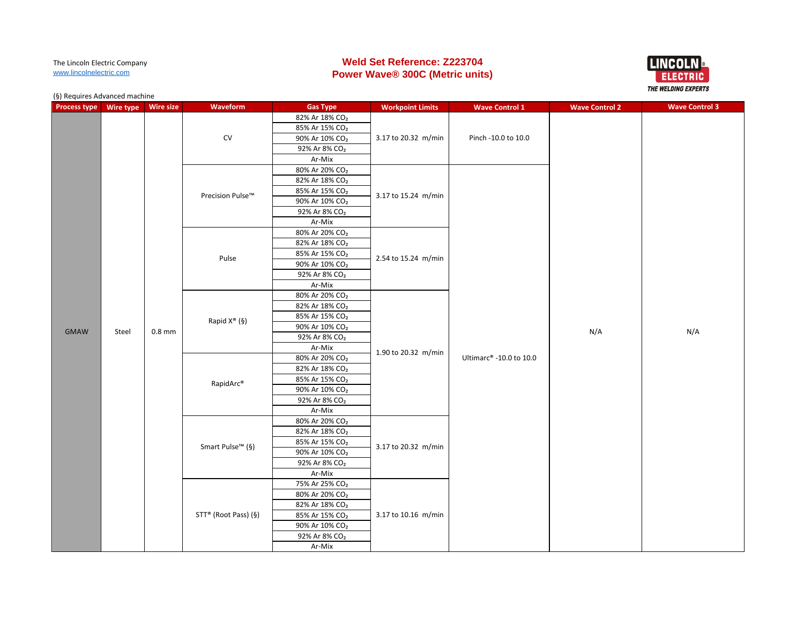# **Weld Set Reference: Z223704 Power Wave® 300C (Metric units)**



| <b>Process type</b> | Wire type Wire size |          | Waveform                     | <b>Gas Type</b>            | <b>Workpoint Limits</b> | <b>Wave Control 1</b>               | <b>Wave Control 2</b> | <b>Wave Control 3</b> |
|---------------------|---------------------|----------|------------------------------|----------------------------|-------------------------|-------------------------------------|-----------------------|-----------------------|
|                     |                     |          |                              | 82% Ar 18% CO <sub>2</sub> |                         |                                     |                       |                       |
|                     |                     |          |                              | 85% Ar 15% CO <sub>2</sub> |                         |                                     |                       |                       |
|                     |                     |          | CV                           | 90% Ar 10% CO <sub>2</sub> | 3.17 to 20.32 m/min     | Pinch -10.0 to 10.0                 |                       |                       |
|                     |                     |          |                              | 92% Ar 8% CO <sub>2</sub>  |                         |                                     |                       |                       |
|                     |                     |          |                              | Ar-Mix                     |                         |                                     |                       | N/A                   |
|                     |                     |          |                              | 80% Ar 20% CO <sub>2</sub> |                         |                                     |                       |                       |
|                     |                     |          |                              | 82% Ar 18% CO <sub>2</sub> |                         |                                     |                       |                       |
|                     |                     |          | Precision Pulse™             | 85% Ar 15% CO <sub>2</sub> | 3.17 to 15.24 m/min     |                                     |                       |                       |
|                     |                     |          |                              | 90% Ar 10% CO <sub>2</sub> |                         |                                     |                       |                       |
|                     |                     |          |                              | 92% Ar 8% CO <sub>2</sub>  |                         |                                     |                       |                       |
|                     |                     |          |                              | Ar-Mix                     |                         |                                     |                       |                       |
|                     |                     |          |                              | 80% Ar 20% CO <sub>2</sub> |                         |                                     |                       |                       |
|                     |                     |          |                              | 82% Ar 18% CO <sub>2</sub> |                         |                                     |                       |                       |
|                     |                     |          | Pulse                        | 85% Ar 15% CO <sub>2</sub> | 2.54 to 15.24 m/min     |                                     |                       |                       |
|                     |                     |          |                              | 90% Ar 10% CO <sub>2</sub> |                         |                                     |                       |                       |
|                     |                     |          |                              | 92% Ar 8% CO <sub>2</sub>  |                         |                                     |                       |                       |
|                     |                     |          |                              | Ar-Mix                     |                         |                                     |                       |                       |
|                     |                     |          |                              | 80% Ar 20% CO <sub>2</sub> |                         |                                     |                       |                       |
|                     |                     |          |                              | 82% Ar 18% CO <sub>2</sub> |                         |                                     |                       |                       |
|                     |                     |          | Rapid X <sup>®</sup> (§)     | 85% Ar 15% CO <sub>2</sub> |                         |                                     |                       |                       |
| <b>GMAW</b>         | Steel               | $0.8$ mm |                              | 90% Ar 10% CO <sub>2</sub> |                         |                                     | N/A                   |                       |
|                     |                     |          |                              | 92% Ar 8% CO <sub>2</sub>  |                         |                                     |                       |                       |
|                     |                     |          |                              | Ar-Mix                     | 1.90 to 20.32 m/min     |                                     |                       |                       |
|                     |                     |          | RapidArc <sup>®</sup>        | 80% Ar 20% CO <sub>2</sub> |                         | Ultimarc <sup>®</sup> -10.0 to 10.0 |                       |                       |
|                     |                     |          |                              | 82% Ar 18% CO <sub>2</sub> |                         |                                     |                       |                       |
|                     |                     |          |                              | 85% Ar 15% CO <sub>2</sub> |                         |                                     |                       |                       |
|                     |                     |          |                              | 90% Ar 10% CO <sub>2</sub> |                         |                                     |                       |                       |
|                     |                     |          |                              | 92% Ar 8% CO <sub>2</sub>  |                         |                                     |                       |                       |
|                     |                     |          |                              | Ar-Mix                     |                         |                                     |                       |                       |
|                     |                     |          |                              | 80% Ar 20% CO <sub>2</sub> |                         |                                     |                       |                       |
|                     |                     |          |                              | 82% Ar 18% CO <sub>2</sub> |                         |                                     |                       |                       |
|                     |                     |          | Smart Pulse <sup>™</sup> (§) | 85% Ar 15% CO <sub>2</sub> | 3.17 to 20.32 m/min     |                                     |                       |                       |
|                     |                     |          |                              | 90% Ar 10% CO <sub>2</sub> |                         |                                     |                       |                       |
|                     |                     |          |                              | 92% Ar 8% CO <sub>2</sub>  |                         |                                     |                       |                       |
|                     |                     |          |                              | Ar-Mix                     |                         |                                     |                       |                       |
|                     |                     |          |                              | 75% Ar 25% CO <sub>2</sub> |                         |                                     |                       |                       |
|                     |                     |          |                              | 80% Ar 20% CO <sub>2</sub> |                         |                                     |                       |                       |
|                     |                     |          |                              | 82% Ar 18% CO <sub>2</sub> |                         |                                     |                       |                       |
|                     |                     |          | STT® (Root Pass) (§)         | 85% Ar 15% CO <sub>2</sub> | 3.17 to 10.16 m/min     |                                     |                       |                       |
|                     |                     |          |                              | 90% Ar 10% CO <sub>2</sub> |                         |                                     |                       |                       |
|                     |                     |          |                              | 92% Ar 8% CO <sub>2</sub>  |                         |                                     |                       |                       |
|                     |                     |          |                              | Ar-Mix                     |                         |                                     |                       |                       |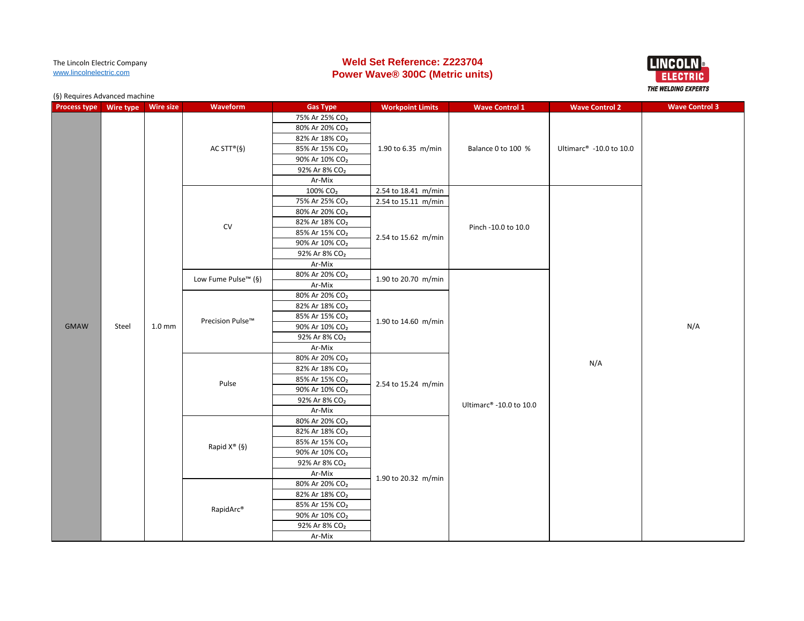# **Weld Set Reference: Z223704 Power Wave® 300C (Metric units)**



| <b>Process type</b> | Wire type | <b>Wire size</b>                                                                                                                     | Waveform                    | <b>Gas Type</b>            | <b>Workpoint Limits</b> | <b>Wave Control 1</b>   | <b>Wave Control 2</b>               | <b>Wave Control 3</b> |
|---------------------|-----------|--------------------------------------------------------------------------------------------------------------------------------------|-----------------------------|----------------------------|-------------------------|-------------------------|-------------------------------------|-----------------------|
|                     |           |                                                                                                                                      |                             | 75% Ar 25% CO <sub>2</sub> |                         |                         |                                     |                       |
|                     |           |                                                                                                                                      |                             | 80% Ar 20% CO <sub>2</sub> |                         |                         |                                     |                       |
|                     |           | 82% Ar 18% CO <sub>2</sub><br>AC STT® $(§)$<br>85% Ar 15% CO <sub>2</sub><br>90% Ar 10% CO <sub>2</sub><br>92% Ar 8% CO <sub>2</sub> |                             |                            |                         | Balance 0 to 100 %      |                                     |                       |
|                     |           |                                                                                                                                      |                             |                            | 1.90 to 6.35 m/min      |                         | Ultimarc <sup>®</sup> -10.0 to 10.0 |                       |
|                     |           |                                                                                                                                      |                             |                            |                         |                         |                                     |                       |
|                     |           |                                                                                                                                      |                             |                            |                         |                         |                                     |                       |
|                     |           |                                                                                                                                      |                             | Ar-Mix                     |                         |                         |                                     |                       |
|                     |           |                                                                                                                                      |                             | 100% CO <sub>2</sub>       | 2.54 to 18.41 m/min     |                         |                                     |                       |
|                     |           |                                                                                                                                      |                             | 75% Ar 25% CO <sub>2</sub> | 2.54 to 15.11 m/min     |                         |                                     |                       |
|                     |           |                                                                                                                                      |                             | 80% Ar 20% CO <sub>2</sub> |                         |                         |                                     |                       |
|                     |           |                                                                                                                                      | ${\sf CV}$                  | 82% Ar 18% CO <sub>2</sub> |                         | Pinch -10.0 to 10.0     |                                     |                       |
|                     |           |                                                                                                                                      |                             | 85% Ar 15% CO <sub>2</sub> | 2.54 to 15.62 m/min     |                         |                                     |                       |
|                     |           |                                                                                                                                      |                             | 90% Ar 10% CO <sub>2</sub> |                         |                         |                                     |                       |
|                     |           |                                                                                                                                      |                             | 92% Ar 8% CO <sub>2</sub>  |                         |                         |                                     |                       |
|                     |           |                                                                                                                                      |                             | Ar-Mix                     |                         |                         |                                     |                       |
|                     |           |                                                                                                                                      | Low Fume Pulse™ (§)         | 80% Ar 20% CO <sub>2</sub> | 1.90 to 20.70 m/min     |                         |                                     |                       |
|                     |           |                                                                                                                                      |                             | Ar-Mix                     |                         |                         |                                     |                       |
|                     |           |                                                                                                                                      | Precision Pulse™            | 80% Ar 20% CO <sub>2</sub> |                         |                         |                                     | N/A                   |
|                     |           |                                                                                                                                      |                             | 82% Ar 18% CO <sub>2</sub> |                         |                         |                                     |                       |
|                     |           |                                                                                                                                      |                             | 85% Ar 15% CO <sub>2</sub> | 1.90 to 14.60 m/min     |                         |                                     |                       |
| <b>GMAW</b>         | Steel     | 1.0 <sub>mm</sub>                                                                                                                    |                             | 90% Ar 10% CO <sub>2</sub> |                         |                         |                                     |                       |
|                     |           |                                                                                                                                      |                             | 92% Ar 8% CO <sub>2</sub>  |                         |                         |                                     |                       |
|                     |           |                                                                                                                                      |                             | Ar-Mix                     |                         |                         |                                     |                       |
|                     |           |                                                                                                                                      | Pulse                       | 80% Ar 20% CO <sub>2</sub> | 2.54 to 15.24 m/min     |                         | N/A                                 |                       |
|                     |           |                                                                                                                                      |                             | 82% Ar 18% CO <sub>2</sub> |                         |                         |                                     |                       |
|                     |           |                                                                                                                                      |                             | 85% Ar 15% CO <sub>2</sub> |                         |                         |                                     |                       |
|                     |           |                                                                                                                                      |                             | 90% Ar 10% CO <sub>2</sub> |                         |                         |                                     |                       |
|                     |           |                                                                                                                                      |                             | 92% Ar 8% CO <sub>2</sub>  |                         | Ultimarc® -10.0 to 10.0 |                                     |                       |
|                     |           |                                                                                                                                      |                             | Ar-Mix                     |                         |                         |                                     |                       |
|                     |           |                                                                                                                                      |                             | 80% Ar 20% CO <sub>2</sub> |                         |                         |                                     |                       |
|                     |           |                                                                                                                                      |                             | 82% Ar 18% CO <sub>2</sub> |                         |                         |                                     |                       |
|                     |           |                                                                                                                                      | Rapid $X^{\circledast}$ (§) | 85% Ar 15% CO <sub>2</sub> |                         |                         |                                     |                       |
|                     |           |                                                                                                                                      |                             | 90% Ar 10% CO <sub>2</sub> |                         |                         |                                     |                       |
|                     |           |                                                                                                                                      |                             | 92% Ar 8% CO <sub>2</sub>  |                         |                         |                                     |                       |
|                     |           |                                                                                                                                      |                             | Ar-Mix                     | 1.90 to 20.32 m/min     |                         |                                     |                       |
|                     |           |                                                                                                                                      |                             | 80% Ar 20% CO <sub>2</sub> |                         |                         |                                     |                       |
|                     |           |                                                                                                                                      |                             | 82% Ar 18% CO <sub>2</sub> |                         |                         |                                     |                       |
|                     |           |                                                                                                                                      | RapidArc®                   | 85% Ar 15% CO <sub>2</sub> |                         |                         |                                     |                       |
|                     |           |                                                                                                                                      |                             | 90% Ar 10% CO <sub>2</sub> |                         |                         |                                     |                       |
|                     |           |                                                                                                                                      |                             | 92% Ar 8% CO <sub>2</sub>  |                         |                         |                                     |                       |
|                     |           |                                                                                                                                      | Ar-Mix                      |                            |                         |                         |                                     |                       |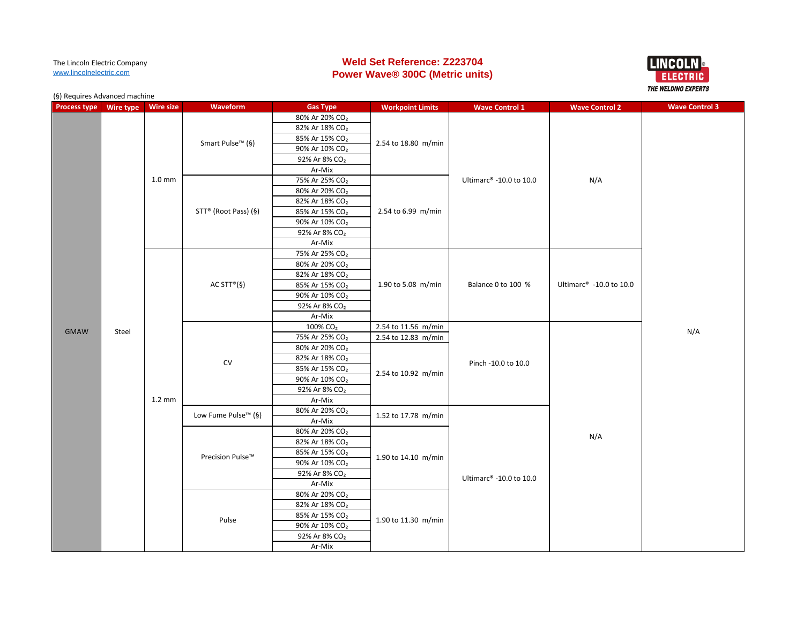# **Weld Set Reference: Z223704 Power Wave® 300C (Metric units)**



| <b>Process type</b> | Wire type | <b>Wire size</b>  | Waveform                     | <b>Gas Type</b>            | <b>Workpoint Limits</b> | <b>Wave Control 1</b>   | <b>Wave Control 2</b>   | <b>Wave Control 3</b> |
|---------------------|-----------|-------------------|------------------------------|----------------------------|-------------------------|-------------------------|-------------------------|-----------------------|
|                     |           |                   |                              | 80% Ar 20% CO <sub>2</sub> |                         |                         |                         |                       |
|                     |           |                   |                              | 82% Ar 18% CO <sub>2</sub> |                         |                         |                         |                       |
|                     |           |                   |                              | 85% Ar 15% CO <sub>2</sub> |                         |                         |                         |                       |
|                     |           |                   | Smart Pulse <sup>™</sup> (§) | 90% Ar 10% CO <sub>2</sub> | 2.54 to 18.80 m/min     |                         |                         |                       |
|                     |           |                   |                              | 92% Ar 8% CO <sub>2</sub>  |                         |                         |                         |                       |
|                     |           |                   |                              | Ar-Mix                     |                         |                         |                         |                       |
|                     |           | 1.0 <sub>mm</sub> |                              | 75% Ar 25% CO <sub>2</sub> |                         | Ultimarc® -10.0 to 10.0 | N/A                     |                       |
|                     |           |                   |                              | 80% Ar 20% CO <sub>2</sub> |                         |                         |                         |                       |
|                     |           |                   |                              | 82% Ar 18% CO <sub>2</sub> |                         |                         |                         |                       |
|                     |           |                   | STT® (Root Pass) (§)         | 85% Ar 15% CO <sub>2</sub> | 2.54 to 6.99 m/min      |                         |                         |                       |
|                     |           |                   |                              | 90% Ar 10% CO <sub>2</sub> |                         |                         |                         |                       |
|                     |           |                   |                              | 92% Ar 8% CO <sub>2</sub>  |                         |                         |                         |                       |
|                     |           |                   |                              | Ar-Mix                     |                         |                         |                         |                       |
|                     |           |                   |                              | 75% Ar 25% CO <sub>2</sub> |                         |                         |                         |                       |
|                     |           |                   |                              | 80% Ar 20% CO <sub>2</sub> |                         |                         |                         |                       |
|                     |           |                   |                              | 82% Ar 18% CO <sub>2</sub> |                         |                         |                         |                       |
|                     |           |                   | AC STT <sup>®</sup> (§)      | 85% Ar 15% CO <sub>2</sub> | 1.90 to 5.08 m/min      | Balance 0 to 100 %      | Ultimarc® -10.0 to 10.0 |                       |
|                     |           |                   |                              | 90% Ar 10% CO <sub>2</sub> |                         |                         |                         |                       |
|                     |           |                   |                              | 92% Ar 8% CO <sub>2</sub>  |                         |                         |                         |                       |
|                     |           |                   |                              | Ar-Mix                     |                         |                         |                         |                       |
| <b>GMAW</b>         | Steel     |                   |                              | 100% CO <sub>2</sub>       | 2.54 to 11.56 m/min     |                         |                         | N/A                   |
|                     |           |                   | CV                           | 75% Ar 25% CO <sub>2</sub> | 2.54 to 12.83 m/min     |                         |                         |                       |
|                     |           |                   |                              | 80% Ar 20% CO <sub>2</sub> | 2.54 to 10.92 m/min     | Pinch -10.0 to 10.0     |                         |                       |
|                     |           |                   |                              | 82% Ar 18% CO <sub>2</sub> |                         |                         |                         |                       |
|                     |           |                   |                              | 85% Ar 15% CO <sub>2</sub> |                         |                         |                         |                       |
|                     |           |                   |                              | 90% Ar 10% CO <sub>2</sub> |                         |                         |                         |                       |
|                     |           |                   |                              | 92% Ar 8% CO <sub>2</sub>  |                         |                         |                         |                       |
|                     |           | $1.2 \text{ mm}$  |                              | Ar-Mix                     |                         |                         |                         |                       |
|                     |           |                   | Low Fume Pulse™ (§)          | 80% Ar 20% CO <sub>2</sub> | 1.52 to 17.78 m/min     |                         |                         |                       |
|                     |           |                   |                              | Ar-Mix                     |                         |                         |                         |                       |
|                     |           |                   |                              | 80% Ar 20% CO <sub>2</sub> |                         |                         | N/A                     |                       |
|                     |           |                   |                              | 82% Ar 18% CO <sub>2</sub> |                         |                         |                         |                       |
|                     |           |                   | Precision Pulse™             | 85% Ar 15% CO <sub>2</sub> | 1.90 to 14.10 m/min     |                         |                         |                       |
|                     |           |                   |                              | 90% Ar 10% CO <sub>2</sub> |                         |                         |                         |                       |
|                     |           |                   |                              | 92% Ar 8% CO <sub>2</sub>  |                         | Ultimarc® -10.0 to 10.0 |                         |                       |
|                     |           |                   |                              | Ar-Mix                     |                         |                         |                         |                       |
|                     |           |                   |                              | 80% Ar 20% CO <sub>2</sub> |                         |                         |                         |                       |
|                     |           |                   |                              | 82% Ar 18% CO <sub>2</sub> |                         |                         |                         |                       |
|                     |           |                   | Pulse                        | 85% Ar 15% CO <sub>2</sub> | 1.90 to 11.30 m/min     |                         |                         |                       |
|                     |           |                   |                              | 90% Ar 10% CO <sub>2</sub> |                         |                         |                         |                       |
|                     |           |                   |                              | 92% Ar 8% CO <sub>2</sub>  |                         |                         |                         |                       |
|                     |           |                   |                              | Ar-Mix                     |                         |                         |                         |                       |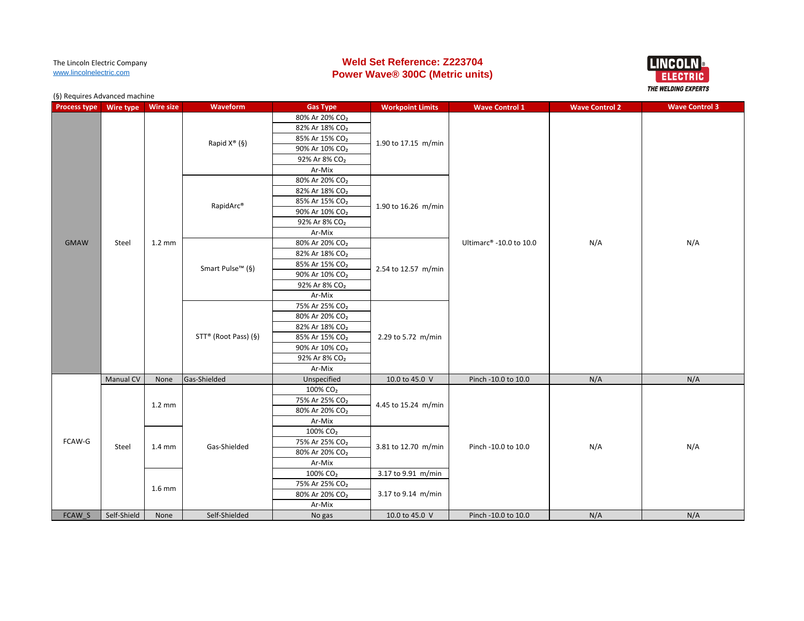# **Weld Set Reference: Z223704 Power Wave® 300C (Metric units)**



| <b>Process type</b> | Wire type        | <b>Wire size</b> | Waveform                     | <b>Gas Type</b>            | <b>Workpoint Limits</b> | <b>Wave Control 1</b>   | <b>Wave Control 2</b> | <b>Wave Control 3</b> |
|---------------------|------------------|------------------|------------------------------|----------------------------|-------------------------|-------------------------|-----------------------|-----------------------|
|                     |                  |                  |                              | 80% Ar 20% CO <sub>2</sub> |                         |                         |                       |                       |
|                     |                  |                  |                              | 82% Ar 18% CO <sub>2</sub> |                         |                         |                       |                       |
|                     |                  |                  | Rapid $X^{\circledast}$ (§)  | 85% Ar 15% CO <sub>2</sub> | 1.90 to 17.15 m/min     |                         |                       |                       |
|                     |                  |                  |                              | 90% Ar 10% CO <sub>2</sub> |                         |                         |                       |                       |
|                     |                  |                  |                              | 92% Ar 8% CO <sub>2</sub>  |                         |                         |                       |                       |
|                     |                  |                  |                              | Ar-Mix                     |                         |                         |                       |                       |
|                     |                  |                  |                              | 80% Ar 20% CO <sub>2</sub> |                         |                         |                       |                       |
|                     |                  |                  |                              | 82% Ar 18% CO <sub>2</sub> |                         |                         |                       |                       |
|                     |                  |                  | RapidArc®                    | 85% Ar 15% CO <sub>2</sub> | 1.90 to 16.26 m/min     |                         |                       |                       |
|                     |                  |                  |                              | 90% Ar 10% CO <sub>2</sub> |                         |                         |                       |                       |
|                     |                  |                  |                              | 92% Ar 8% CO <sub>2</sub>  |                         |                         |                       |                       |
|                     |                  |                  |                              | Ar-Mix                     |                         |                         |                       |                       |
| <b>GMAW</b>         | Steel            | $1.2 \text{ mm}$ |                              | 80% Ar 20% CO <sub>2</sub> |                         | Ultimarc® -10.0 to 10.0 | N/A<br>N/A            |                       |
|                     |                  |                  |                              | 82% Ar 18% CO <sub>2</sub> |                         |                         |                       |                       |
|                     |                  |                  | Smart Pulse <sup>™</sup> (§) | 85% Ar 15% CO <sub>2</sub> | 2.54 to 12.57 m/min     |                         |                       |                       |
|                     |                  |                  |                              | 90% Ar 10% CO <sub>2</sub> |                         |                         |                       |                       |
|                     |                  |                  |                              | 92% Ar 8% CO <sub>2</sub>  |                         |                         |                       |                       |
|                     |                  |                  |                              | Ar-Mix                     |                         |                         |                       |                       |
|                     |                  |                  |                              | 75% Ar 25% CO <sub>2</sub> |                         |                         |                       |                       |
|                     |                  |                  | STT® (Root Pass) (§)         | 80% Ar 20% CO <sub>2</sub> |                         |                         |                       |                       |
|                     |                  |                  |                              | 82% Ar 18% CO <sub>2</sub> | 2.29 to 5.72 m/min      |                         |                       |                       |
|                     |                  |                  |                              | 85% Ar 15% CO <sub>2</sub> |                         |                         |                       |                       |
|                     |                  |                  |                              | 90% Ar 10% CO <sub>2</sub> |                         |                         |                       |                       |
|                     |                  |                  |                              | 92% Ar 8% CO <sub>2</sub>  |                         |                         |                       |                       |
|                     |                  |                  |                              | Ar-Mix                     |                         |                         |                       |                       |
|                     | <b>Manual CV</b> | None             | Gas-Shielded                 | Unspecified                | 10.0 to 45.0 V          | Pinch -10.0 to 10.0     | N/A                   | N/A                   |
|                     |                  |                  |                              | 100% CO <sub>2</sub>       |                         |                         |                       |                       |
|                     |                  | $1.2 \text{ mm}$ |                              | 75% Ar 25% CO <sub>2</sub> | 4.45 to 15.24 m/min     |                         |                       |                       |
|                     |                  |                  |                              | 80% Ar 20% CO <sub>2</sub> |                         |                         |                       |                       |
|                     |                  |                  |                              | Ar-Mix                     |                         |                         |                       |                       |
|                     |                  |                  |                              | 100% CO <sub>2</sub>       |                         |                         |                       |                       |
| FCAW-G              | Steel            | $1.4 \text{ mm}$ | Gas-Shielded                 | 75% Ar 25% CO <sub>2</sub> | 3.81 to 12.70 m/min     | Pinch -10.0 to 10.0     | N/A                   | N/A                   |
|                     |                  |                  |                              | 80% Ar 20% CO <sub>2</sub> |                         |                         |                       |                       |
|                     |                  |                  |                              | Ar-Mix                     |                         |                         |                       |                       |
|                     |                  |                  |                              | 100% CO <sub>2</sub>       | 3.17 to 9.91 m/min      |                         |                       |                       |
|                     |                  | $1.6$ mm         |                              | 75% Ar 25% CO <sub>2</sub> |                         |                         |                       |                       |
|                     |                  |                  |                              | 80% Ar 20% CO <sub>2</sub> | 3.17 to 9.14 m/min      |                         |                       |                       |
|                     |                  |                  |                              | Ar-Mix                     |                         |                         |                       |                       |
| FCAW S              | Self-Shield      | None             | Self-Shielded                | No gas                     | 10.0 to 45.0 V          | Pinch -10.0 to 10.0     | N/A                   | N/A                   |